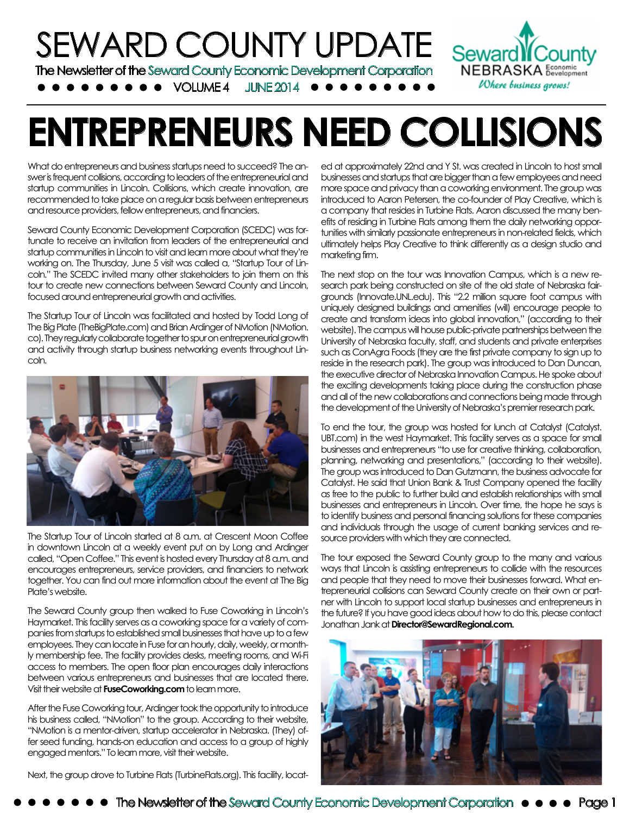

# **ENTREPRENEURS NEED COLLISIONS**

What do entrepreneurs and business startups need to succeed? The answer is frequent collisions, according to leaders of the entrepreneurial and startup communities in Lincoln. Collisions, which create innovation, are recommended to take place on a regular basis between entrepreneurs and resource providers, fellow entrepreneurs, and financiers.

Seward County Economic Development Corporation (SCEDC) was fortunate to receive an invitation from leaders of the entrepreneurial and startup communities in Lincoln to visit and learn more about what they're working on. The Thursday, June 5 visit was called a, "Startup Tour of Lincoln." The SCEDC invited many other stakeholders to join them on this tour to create new connections between Seward County and Lincoln, focused around entrepreneurial growth and activities.

The Startup Tour of Lincoln was facilitated and hosted by Todd Long of The Big Plate (TheBigPlate.com) and Brian Ardinger of NMotion (NMotion. co). They regularly collaborate together to spur on entrepreneurial growth and activity through startup business networking events throughout Lincoln.



The Startup Tour of Lincoln started at 8 a.m. at Crescent Moon Coffee in downtown Lincoln at a weekly event put on by Long and Ardinger called, "Open Coffee." This event is hosted every Thursday at 8 a.m. and encourages entrepreneurs, service providers, and financiers to network together. You can find out more information about the event at The Big Plate's website.

The Seward County group then walked to Fuse Coworking in Lincoln's Haymarket. This facility serves as a coworking space for a variety of companies from startups to established small businesses that have up to a few employees. They can locate in Fuse for an hourly, daily, weekly, or monthly membership fee. The facility provides desks, meeting rooms, and Wi-Fi access to members. The open floor plan encourages daily interactions between various entrepreneurs and businesses that are located there. Visit their website at **FuseCoworking.com** to learn more.

After the Fuse Coworking tour, Ardinger took the opportunity to introduce his business called, "NMotion" to the group. According to their website, "NMotion is a mentor-driven, startup accelerator in Nebraska. (They) offer seed funding, hands-on education and access to a group of highly engaged mentors." To learn more, visit their website.

Next, the group drove to Turbine Flats (TurbineFlats.org). This facility, locat-

ed at approximately 22nd and Y St. was created in Lincoln to host small businesses and startups that are bigger than a few employees and need more space and privacy than a coworking environment. The group was introduced to Aaron Petersen, the co-founder of Play Creative, which is a company that resides in Turbine Flats. Aaron discussed the many benefits of residing in Turbine Flats among them the daily networking opportunities with similarly passionate entrepreneurs in non-related fields, which ultimately helps Play Creative to think differently as a design studio and marketing firm.

The next stop on the tour was Innovation Campus, which is a new research park being constructed on site of the old state of Nebraska fairgrounds (Innovate.UNL.edu). This "2.2 million square foot campus with uniquely designed buildings and amenities (will) encourage people to create and transform ideas into global innovation," (according to their website). The campus will house public-private partnerships between the University of Nebraska faculty, staff, and students and private enterprises such as ConAgra Foods (they are the first private company to sign up to reside in the research park). The group was introduced to Dan Duncan, the executive director of Nebraska Innovation Campus. He spoke about the exciting developments taking place during the construction phase and all of the new collaborations and connections being made through the development of the University of Nebraska's premier research park.

To end the tour, the group was hosted for lunch at Catalyst (Catalyst. UBT.com) in the west Haymarket. This facility serves as a space for small businesses and entrepreneurs "to use for creative thinking, collaboration, planning, networking and presentations," (according to their website). The group was introduced to Dan Gutzmann, the business advocate for Catalyst. He said that Union Bank & Trust Company opened the facility as free to the public to further build and establish relationships with small businesses and entrepreneurs in Lincoln. Over time, the hope he says is to identify business and personal financing solutions for these companies and individuals through the usage of current banking services and resource providers with which they are connected.

The tour exposed the Seward County group to the many and various ways that Lincoln is assisting entrepreneurs to collide with the resources and people that they need to move their businesses forward. What entrepreneurial collisions can Seward County create on their own or partner with Lincoln to support local startup businesses and entrepreneurs in the future? If you have good ideas about how to do this, please contact Jonathan Jank at **Director@SewardRegional.com.**